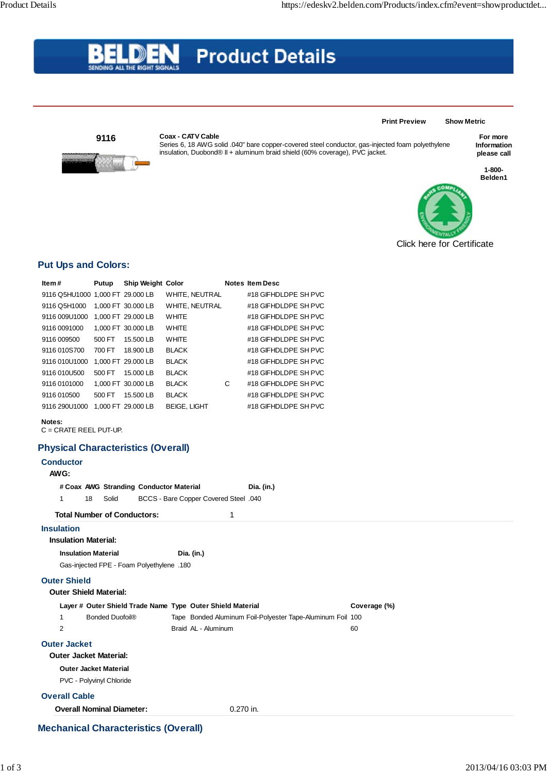# **Product Details** SENDING ALL THE RIGHT SIG

**9116**

#### **Coax - CATV Cable**



B

Series 6, 18 AWG solid .040" bare copper-covered steel conductor, gas-injected foam polyethylene insulation, Duobond® II + aluminum braid shield (60% coverage), PVC jacket.

### **For more Information please call**

**1-800- Belden1**



**Print Preview Show Metric**

## **Put Ups and Colors:**

| ltem #                                           | Putup                  | <b>Ship Weight Color</b>                  |                                                            |           | <b>Notes Item Desc</b>                                     |              |
|--------------------------------------------------|------------------------|-------------------------------------------|------------------------------------------------------------|-----------|------------------------------------------------------------|--------------|
| 9116 Q5HU1000 1,000 FT 29.000 LB                 |                        |                                           | WHITE, NEUTRAL                                             |           | #18 GIFHDLDPE SH PVC                                       |              |
| 9116 Q5H1000                                     |                        | 1,000 FT 30.000 LB                        | WHITE, NEUTRAL                                             |           | #18 GIFHDLDPE SH PVC                                       |              |
| 9116 009U1000 1,000 FT 29.000 LB                 |                        |                                           | WHITE                                                      |           | #18 GIFHDLDPE SH PVC                                       |              |
| 9116 0091000                                     |                        | 1,000 FT 30.000 LB                        | WHITE                                                      |           | #18 GIFHDLDPE SH PVC                                       |              |
| 9116 009500                                      | 500 FT                 | 15.500 LB                                 | <b>WHITE</b>                                               |           | #18 GIFHDLDPE SH PVC                                       |              |
| 9116 010S700                                     | 700 FT                 | 18.900 LB                                 | <b>BLACK</b>                                               |           | #18 GIFHDLDPE SH PVC                                       |              |
| 9116 010U1000 1,000 FT 29.000 LB                 |                        |                                           | <b>BLACK</b>                                               |           | #18 GIFHDLDPE SH PVC                                       |              |
| 9116 010U500                                     | 500 FT                 | 15.000 LB                                 | <b>BLACK</b>                                               |           | #18 GIFHDLDPE SH PVC                                       |              |
| 9116 0101000                                     |                        | 1,000 FT 30.000 LB                        | <b>BLACK</b>                                               | C         | #18 GIFHDLDPE SH PVC                                       |              |
| 9116 010500                                      | 500 FT                 | 15.500 LB                                 | <b>BLACK</b>                                               |           | #18 GIFHDLDPE SH PVC                                       |              |
| 9116 290U1000 1,000 FT 29.000 LB                 |                        |                                           | <b>BEIGE, LIGHT</b>                                        |           | #18 GIFHDLDPE SH PVC                                       |              |
| Notes:<br>$C = CRATE REEL PUT-UP.$               |                        |                                           |                                                            |           |                                                            |              |
| <b>Physical Characteristics (Overall)</b>        |                        |                                           |                                                            |           |                                                            |              |
| <b>Conductor</b>                                 |                        |                                           |                                                            |           |                                                            |              |
| AWG:                                             |                        |                                           |                                                            |           |                                                            |              |
|                                                  |                        | # Coax AWG Stranding Conductor Material   |                                                            |           | Dia. (in.)                                                 |              |
|                                                  |                        |                                           |                                                            |           |                                                            |              |
|                                                  |                        |                                           |                                                            |           |                                                            |              |
| 18<br>1                                          | Solid                  |                                           | <b>BCCS - Bare Copper Covered Steel .040</b>               |           |                                                            |              |
| <b>Total Number of Conductors:</b>               |                        |                                           |                                                            | 1         |                                                            |              |
| <b>Insulation</b><br><b>Insulation Material:</b> |                        |                                           |                                                            |           |                                                            |              |
| <b>Insulation Material</b>                       |                        |                                           | Dia. (in.)                                                 |           |                                                            |              |
|                                                  |                        | 180. Gas-injected FPE - Foam Polyethylene |                                                            |           |                                                            |              |
|                                                  |                        |                                           |                                                            |           |                                                            |              |
| <b>Outer Shield</b>                              |                        |                                           |                                                            |           |                                                            |              |
| <b>Outer Shield Material:</b>                    |                        |                                           |                                                            |           |                                                            |              |
|                                                  |                        |                                           | Layer # Outer Shield Trade Name Type Outer Shield Material |           |                                                            | Coverage (%) |
| $\mathbf{1}$                                     | <b>Bonded Duofoil®</b> |                                           |                                                            |           | Tape Bonded Aluminum Foil-Polyester Tape-Aluminum Foil 100 |              |
| 2                                                |                        |                                           | Braid AL - Aluminum                                        |           |                                                            | 60           |
| <b>Outer Jacket</b>                              |                        |                                           |                                                            |           |                                                            |              |
| <b>Outer Jacket Material:</b>                    |                        |                                           |                                                            |           |                                                            |              |
| <b>Outer Jacket Material</b>                     |                        |                                           |                                                            |           |                                                            |              |
| PVC - Polyvinyl Chloride                         |                        |                                           |                                                            |           |                                                            |              |
| <b>Overall Cable</b>                             |                        |                                           |                                                            |           |                                                            |              |
| <b>Overall Nominal Diameter:</b>                 |                        |                                           |                                                            | 0.270 in. |                                                            |              |

## **Mechanical Characteristics (Overall)**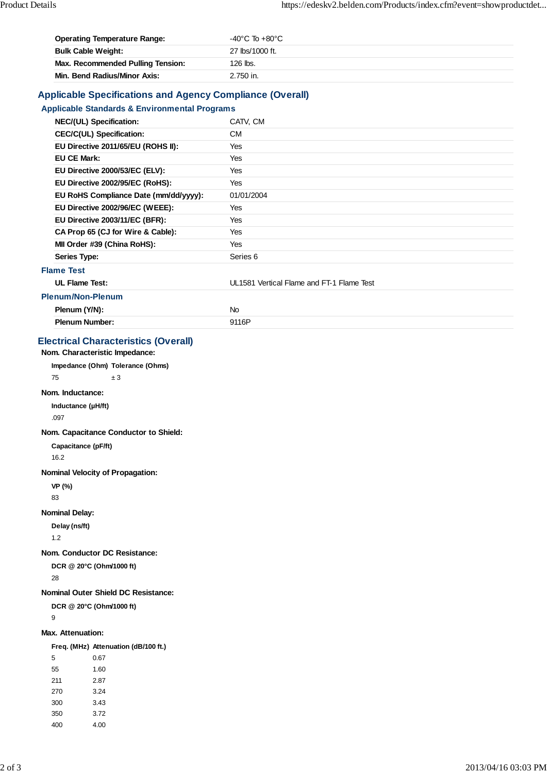| <b>Operating Temperature Range:</b>      | $-40^{\circ}$ C To $+80^{\circ}$ C |
|------------------------------------------|------------------------------------|
| <b>Bulk Cable Weight:</b>                | 27 lbs/1000 ft.                    |
| <b>Max. Recommended Pulling Tension:</b> | 126 lbs.                           |
| Min. Bend Radius/Minor Axis:             | 2.750 in.                          |

## **Applicable Specifications and Agency Compliance (Overall)**

## **Applicable Standards & Environmental Programs**

| NEC/(UL) Specification:               | CATV, CM                                  |
|---------------------------------------|-------------------------------------------|
| <b>CEC/C(UL) Specification:</b>       | <b>CM</b>                                 |
| EU Directive 2011/65/EU (ROHS II):    | Yes                                       |
| <b>EU CE Mark:</b>                    | Yes                                       |
| EU Directive 2000/53/EC (ELV):        | Yes                                       |
| EU Directive 2002/95/EC (RoHS):       | Yes                                       |
| EU RoHS Compliance Date (mm/dd/yyyy): | 01/01/2004                                |
| EU Directive 2002/96/EC (WEEE):       | Yes                                       |
| EU Directive 2003/11/EC (BFR):        | Yes                                       |
| CA Prop 65 (CJ for Wire & Cable):     | Yes                                       |
| MII Order #39 (China RoHS):           | Yes                                       |
| Series Type:                          | Series <sub>6</sub>                       |
| <b>Flame Test</b>                     |                                           |
| <b>UL Flame Test:</b>                 | UL1581 Vertical Flame and FT-1 Flame Test |
| <b>Plenum/Non-Plenum</b>              |                                           |
| Plenum (Y/N):                         | <b>No</b>                                 |
| <b>Plenum Number:</b>                 | 9116P                                     |

## **Electrical Characteristics (Overall)**

**Nom. Characteristic Impedance:**

**Impedance (Ohm) Tolerance (Ohms)**

75  $\pm 3$ 

### **Nom. Inductance:**

**Inductance (µH/ft)** .097

**Nom. Capacitance Conductor to Shield:**

### **Capacitance (pF/ft)**

16.2

### **Nominal Velocity of Propagation:**

**VP (%)**

83

#### **Nominal Delay:**

**Delay (ns/ft)**

1.2

### **Nom. Conductor DC Resistance:**

**DCR @ 20°C (Ohm/1000 ft)**

28

#### **Nominal Outer Shield DC Resistance:**

**DCR @ 20°C (Ohm/1000 ft)**

9

#### **Max. Attenuation:**

#### **Freq. (MHz) Attenuation (dB/100 ft.)**

| 5   | 0.67 |
|-----|------|
| 55  | 1.60 |
| 211 | 2.87 |
| 270 | 3.24 |
| 300 | 3.43 |
| 350 | 3.72 |
| 400 | 4.00 |